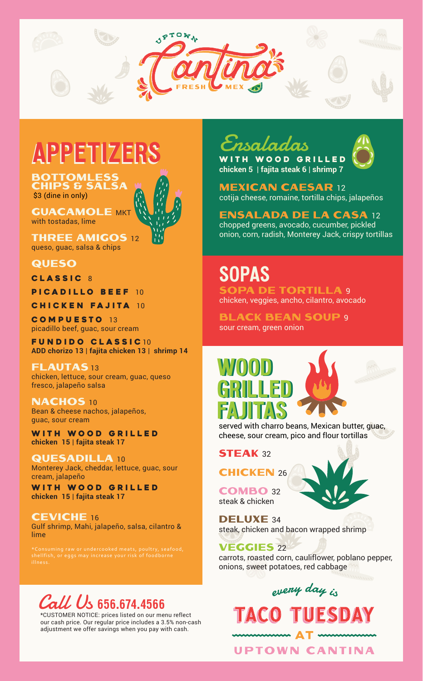

## Appetizers Appetizers

**BOTTOMLESS** chips & salsa \$3 (dine in only)

**GUACAMOLE MKT** with tostadas, lime

**THREE AMIGOS 12** queso, guac, salsa & chips

**QUESO** 

CLASSIC 8

PICADILLO BEEF 10

Chicken Fajita 10

Compuesto 13 picadillo beef, guac, sour cream

Fundido classic 10 **ADD chorizo 13 | fajita chicken 13 | shrimp 14**

**FLAUTAS13** chicken, lettuce, sour cream, guac, queso fresco, jalapeño salsa

NACHOS 10 Bean & cheese nachos, jalapeños, guac, sour cream

WITH WOOD GRILLED **chicken 15 | fajita steak 17**

Quesadilla <sup>10</sup> Monterey Jack, cheddar, lettuce, guac, sour cream, jalapeño

with wood grilled **chicken 15 | fajita steak 17**

Ceviche <sup>16</sup> Gulf shrimp, Mahi, jalapeño, salsa, cilantro & lime

### Call Us 656.674.4566

\*CUSTOMER NOTICE: prices listed on our menu reflect our cash price. Our regular price includes a 3.5% non-cash adjustment we offer savings when you pay with cash.

## Ensaladas



with wood grilled **chicken 5 | fajita steak 6 | shrimp 7**

**MEXICAN CAESAR 12** cotija cheese, romaine, tortilla chips, jalapeños

Ensalada de la Casa <sup>12</sup> chopped greens, avocado, cucumber, pickled

onion, corn, radish, Monterey Jack, crispy tortillas

# **SOPAS**

**SOPA DE TORTILLA 9** chicken, veggies, ancho, cilantro, avocado

**BLACK BEAN SOUP 9** sour cream, green onion

#### WOOD grilled Fajitas WOOD grilled Fajitas



served with charro beans, Mexican butter, guac, cheese, sour cream, pico and flour tortillas

#### **STEAK 32**

**CHICKEN 26** 

Combo <sup>32</sup> steak & chicken



DELUXE 34 steak, chicken and bacon wrapped shrimp

Veggies <sup>22</sup>

carrots, roasted corn, cauliflower, poblano pepper, onions, sweet potatoes, red cabbage

## every day is **TACO TUESDAY**

**UPTOWN CANTINA**